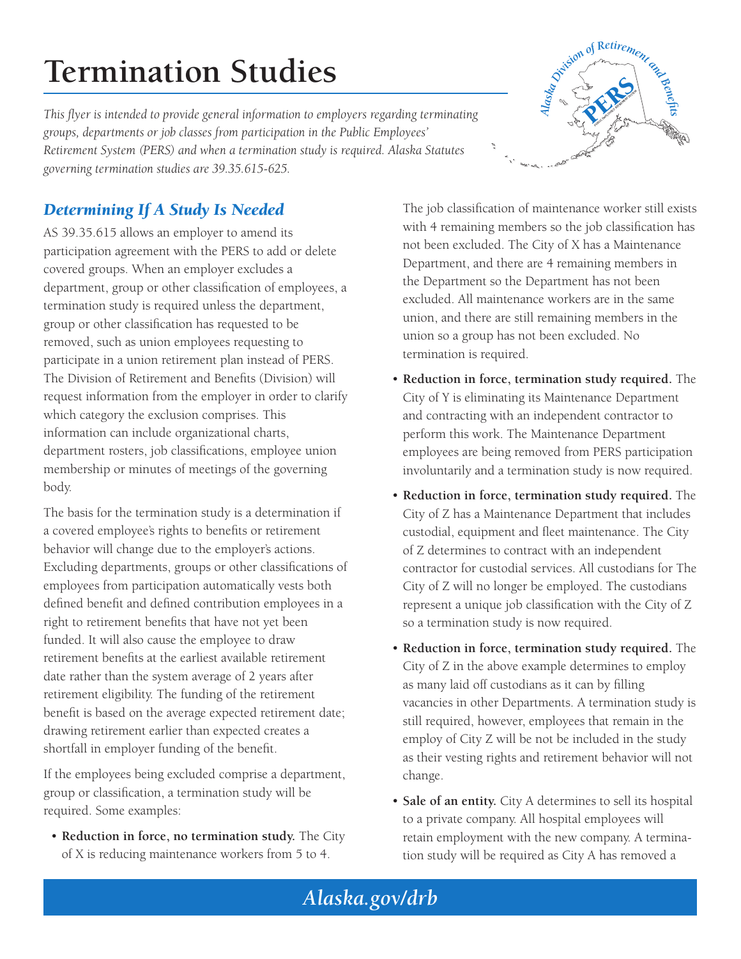# **Termination Studies**

*This flyer is intended to provide general information to employers regarding terminating groups, departments or job classes from participation in the Public Employees' Retirement System (PERS) and when a termination study is required. Alaska Statutes governing termination studies are 39.35.615-625.*



## *Determining If A Study Is Needed*

AS 39.35.615 allows an employer to amend its participation agreement with the PERS to add or delete covered groups. When an employer excludes a department, group or other classification of employees, a termination study is required unless the department, group or other classification has requested to be removed, such as union employees requesting to participate in a union retirement plan instead of PERS. The Division of Retirement and Benefits (Division) will request information from the employer in order to clarify which category the exclusion comprises. This information can include organizational charts, department rosters, job classifications, employee union membership or minutes of meetings of the governing body.

The basis for the termination study is a determination if a covered employee's rights to benefits or retirement behavior will change due to the employer's actions. Excluding departments, groups or other classifications of employees from participation automatically vests both defined benefit and defined contribution employees in a right to retirement benefits that have not yet been funded. It will also cause the employee to draw retirement benefits at the earliest available retirement date rather than the system average of 2 years after retirement eligibility. The funding of the retirement benefit is based on the average expected retirement date; drawing retirement earlier than expected creates a shortfall in employer funding of the benefit.

If the employees being excluded comprise a department, group or classification, a termination study will be required. Some examples:

• **Reduction in force, no termination study.** The City of X is reducing maintenance workers from 5 to 4.

The job classification of maintenance worker still exists with 4 remaining members so the job classification has not been excluded. The City of X has a Maintenance Department, and there are 4 remaining members in the Department so the Department has not been excluded. All maintenance workers are in the same union, and there are still remaining members in the union so a group has not been excluded. No termination is required.

- **Reduction in force, termination study required.** The City of Y is eliminating its Maintenance Department and contracting with an independent contractor to perform this work. The Maintenance Department employees are being removed from PERS participation involuntarily and a termination study is now required.
- **Reduction in force, termination study required.** The City of Z has a Maintenance Department that includes custodial, equipment and fleet maintenance. The City of Z determines to contract with an independent contractor for custodial services. All custodians for The City of Z will no longer be employed. The custodians represent a unique job classification with the City of Z so a termination study is now required.
- **Reduction in force, termination study required.** The City of Z in the above example determines to employ as many laid off custodians as it can by filling vacancies in other Departments. A termination study is still required, however, employees that remain in the employ of City Z will be not be included in the study as their vesting rights and retirement behavior will not change.
- **Sale of an entity.** City A determines to sell its hospital to a private company. All hospital employees will retain employment with the new company. A termination study will be required as City A has removed a